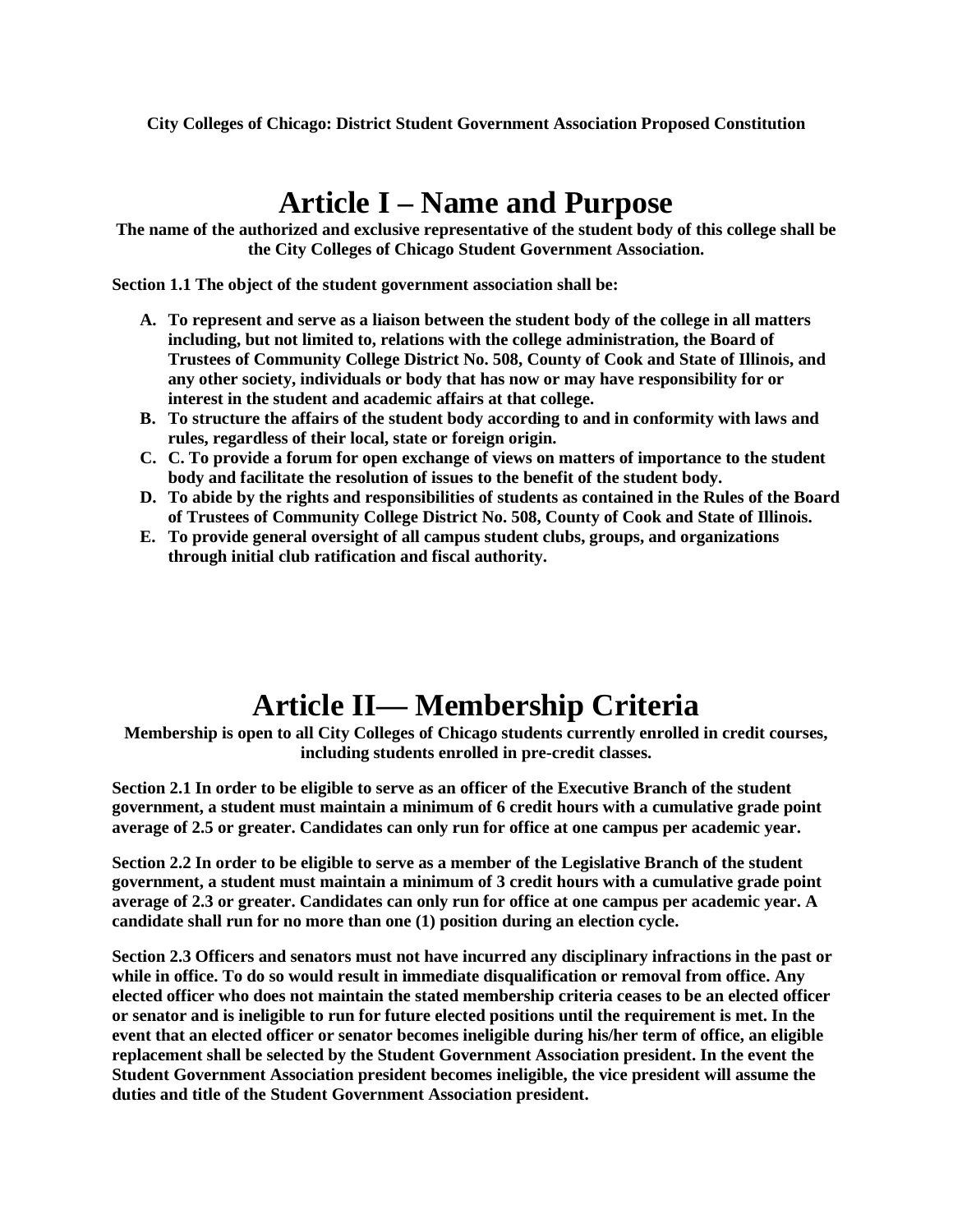**City Colleges of Chicago: District Student Government Association Proposed Constitution**

### **Article I – Name and Purpose**

**The name of the authorized and exclusive representative of the student body of this college shall be the City Colleges of Chicago Student Government Association.**

**Section 1.1 The object of the student government association shall be:**

- **A. To represent and serve as a liaison between the student body of the college in all matters including, but not limited to, relations with the college administration, the Board of Trustees of Community College District No. 508, County of Cook and State of Illinois, and any other society, individuals or body that has now or may have responsibility for or interest in the student and academic affairs at that college.**
- **B. To structure the affairs of the student body according to and in conformity with laws and rules, regardless of their local, state or foreign origin.**
- **C. C. To provide a forum for open exchange of views on matters of importance to the student body and facilitate the resolution of issues to the benefit of the student body.**
- **D. To abide by the rights and responsibilities of students as contained in the Rules of the Board of Trustees of Community College District No. 508, County of Cook and State of Illinois.**
- **E. To provide general oversight of all campus student clubs, groups, and organizations through initial club ratification and fiscal authority.**

# **Article II— Membership Criteria**

**Membership is open to all City Colleges of Chicago students currently enrolled in credit courses, including students enrolled in pre-credit classes.**

**Section 2.1 In order to be eligible to serve as an officer of the Executive Branch of the student government, a student must maintain a minimum of 6 credit hours with a cumulative grade point average of 2.5 or greater. Candidates can only run for office at one campus per academic year.** 

**Section 2.2 In order to be eligible to serve as a member of the Legislative Branch of the student government, a student must maintain a minimum of 3 credit hours with a cumulative grade point average of 2.3 or greater. Candidates can only run for office at one campus per academic year. A candidate shall run for no more than one (1) position during an election cycle.** 

**Section 2.3 Officers and senators must not have incurred any disciplinary infractions in the past or while in office. To do so would result in immediate disqualification or removal from office. Any elected officer who does not maintain the stated membership criteria ceases to be an elected officer or senator and is ineligible to run for future elected positions until the requirement is met. In the event that an elected officer or senator becomes ineligible during his/her term of office, an eligible replacement shall be selected by the Student Government Association president. In the event the Student Government Association president becomes ineligible, the vice president will assume the duties and title of the Student Government Association president.**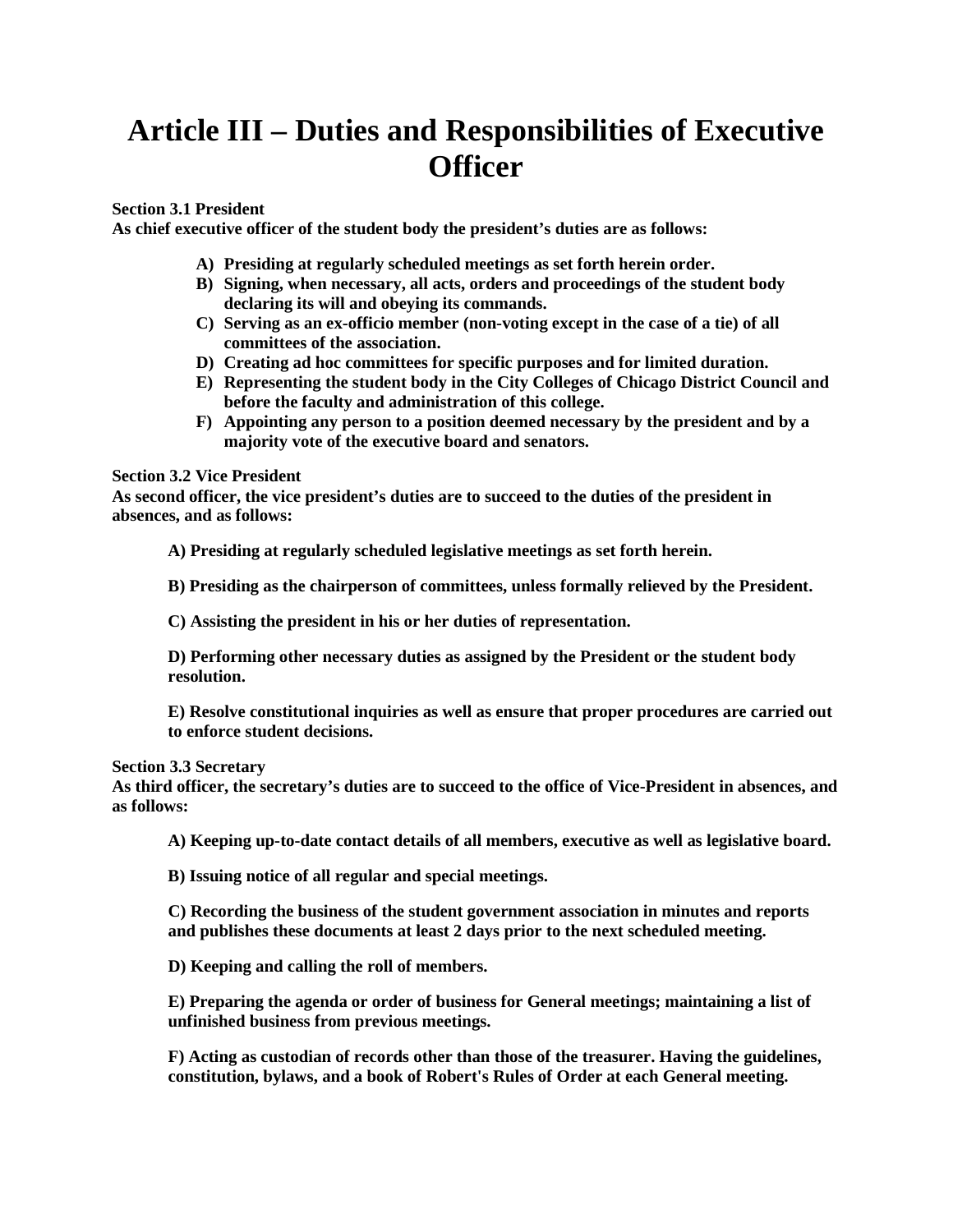# **Article III – Duties and Responsibilities of Executive Officer**

### **Section 3.1 President**

**As chief executive officer of the student body the president's duties are as follows:**

- **A) Presiding at regularly scheduled meetings as set forth herein order.**
- **B) Signing, when necessary, all acts, orders and proceedings of the student body declaring its will and obeying its commands.**
- **C) Serving as an ex-officio member (non-voting except in the case of a tie) of all committees of the association.**
- **D) Creating ad hoc committees for specific purposes and for limited duration.**
- **E) Representing the student body in the City Colleges of Chicago District Council and before the faculty and administration of this college.**
- **F) Appointing any person to a position deemed necessary by the president and by a majority vote of the executive board and senators.**

### **Section 3.2 Vice President**

**As second officer, the vice president's duties are to succeed to the duties of the president in absences, and as follows:**

**A) Presiding at regularly scheduled legislative meetings as set forth herein.** 

**B) Presiding as the chairperson of committees, unless formally relieved by the President.** 

**C) Assisting the president in his or her duties of representation.**

**D) Performing other necessary duties as assigned by the President or the student body resolution.**

**E) Resolve constitutional inquiries as well as ensure that proper procedures are carried out to enforce student decisions.**

#### **Section 3.3 Secretary**

**As third officer, the secretary's duties are to succeed to the office of Vice-President in absences, and as follows:** 

**A) Keeping up-to-date contact details of all members, executive as well as legislative board.** 

**B) Issuing notice of all regular and special meetings.** 

**C) Recording the business of the student government association in minutes and reports and publishes these documents at least 2 days prior to the next scheduled meeting.** 

**D) Keeping and calling the roll of members.** 

**E) Preparing the agenda or order of business for General meetings; maintaining a list of unfinished business from previous meetings.** 

**F) Acting as custodian of records other than those of the treasurer. Having the guidelines, constitution, bylaws, and a book of Robert's Rules of Order at each General meeting.**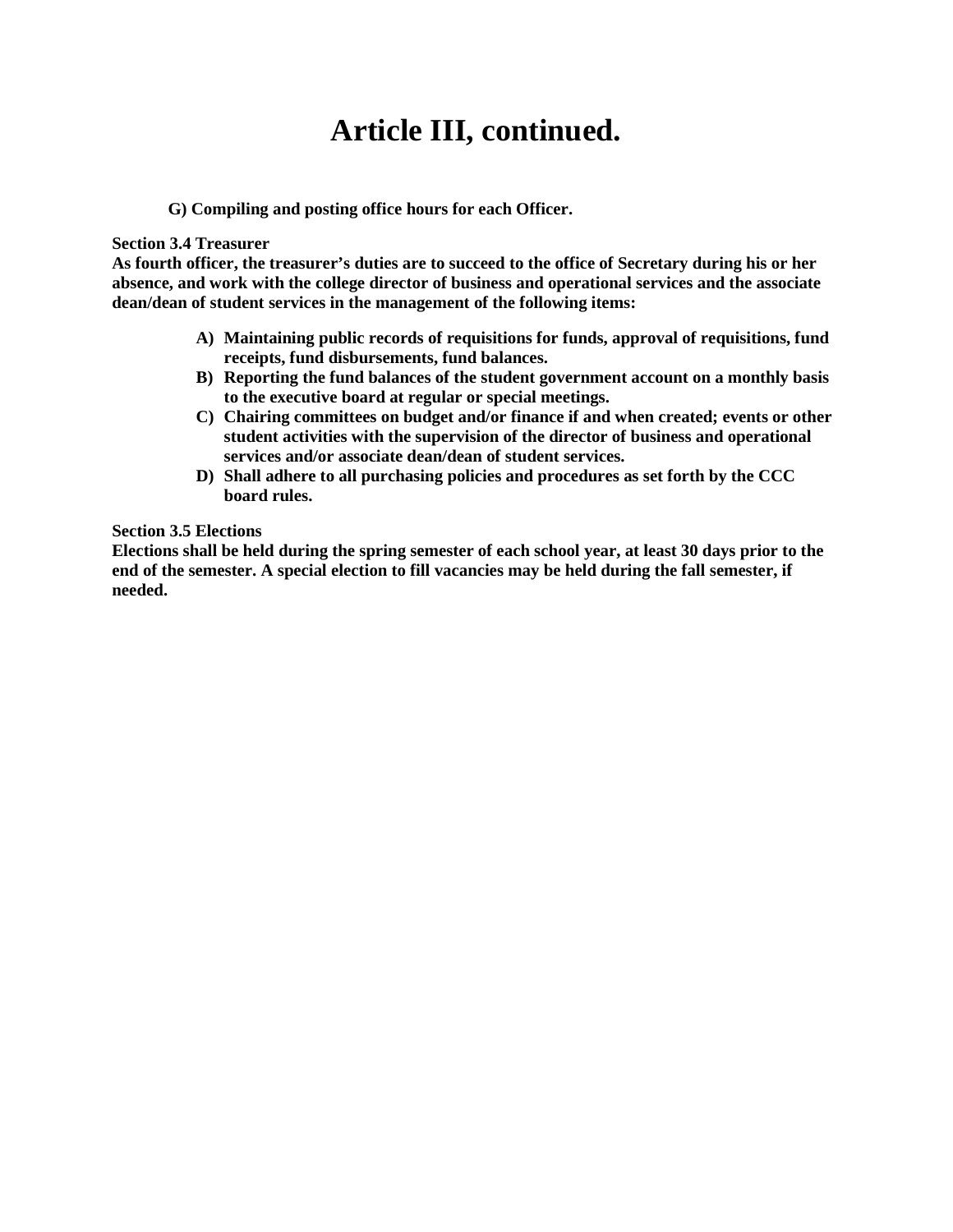# **Article III, continued.**

### **G) Compiling and posting office hours for each Officer.**

#### **Section 3.4 Treasurer**

**As fourth officer, the treasurer's duties are to succeed to the office of Secretary during his or her absence, and work with the college director of business and operational services and the associate dean/dean of student services in the management of the following items:**

- **A) Maintaining public records of requisitions for funds, approval of requisitions, fund receipts, fund disbursements, fund balances.**
- **B) Reporting the fund balances of the student government account on a monthly basis to the executive board at regular or special meetings.**
- **C) Chairing committees on budget and/or finance if and when created; events or other student activities with the supervision of the director of business and operational services and/or associate dean/dean of student services.**
- **D) Shall adhere to all purchasing policies and procedures as set forth by the CCC board rules.**

#### **Section 3.5 Elections**

**Elections shall be held during the spring semester of each school year, at least 30 days prior to the end of the semester. A special election to fill vacancies may be held during the fall semester, if needed.**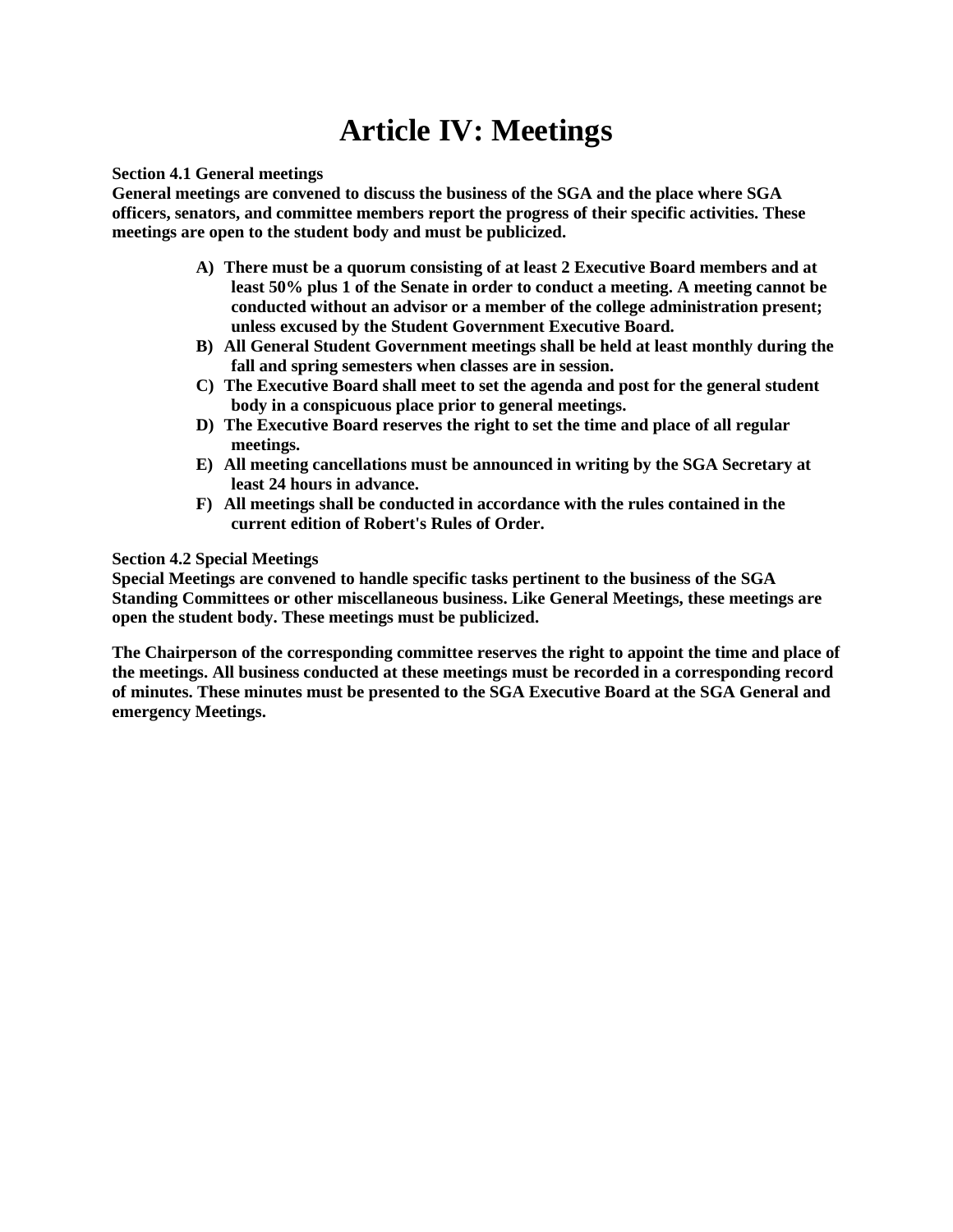# **Article IV: Meetings**

#### **Section 4.1 General meetings**

**General meetings are convened to discuss the business of the SGA and the place where SGA officers, senators, and committee members report the progress of their specific activities. These meetings are open to the student body and must be publicized.** 

- **A) There must be a quorum consisting of at least 2 Executive Board members and at least 50% plus 1 of the Senate in order to conduct a meeting. A meeting cannot be conducted without an advisor or a member of the college administration present; unless excused by the Student Government Executive Board.**
- **B) All General Student Government meetings shall be held at least monthly during the fall and spring semesters when classes are in session.**
- **C) The Executive Board shall meet to set the agenda and post for the general student body in a conspicuous place prior to general meetings.**
- **D) The Executive Board reserves the right to set the time and place of all regular meetings.**
- **E) All meeting cancellations must be announced in writing by the SGA Secretary at least 24 hours in advance.**
- **F) All meetings shall be conducted in accordance with the rules contained in the current edition of Robert's Rules of Order.**

#### **Section 4.2 Special Meetings**

**Special Meetings are convened to handle specific tasks pertinent to the business of the SGA Standing Committees or other miscellaneous business. Like General Meetings, these meetings are open the student body. These meetings must be publicized.**

**The Chairperson of the corresponding committee reserves the right to appoint the time and place of the meetings. All business conducted at these meetings must be recorded in a corresponding record of minutes. These minutes must be presented to the SGA Executive Board at the SGA General and emergency Meetings.**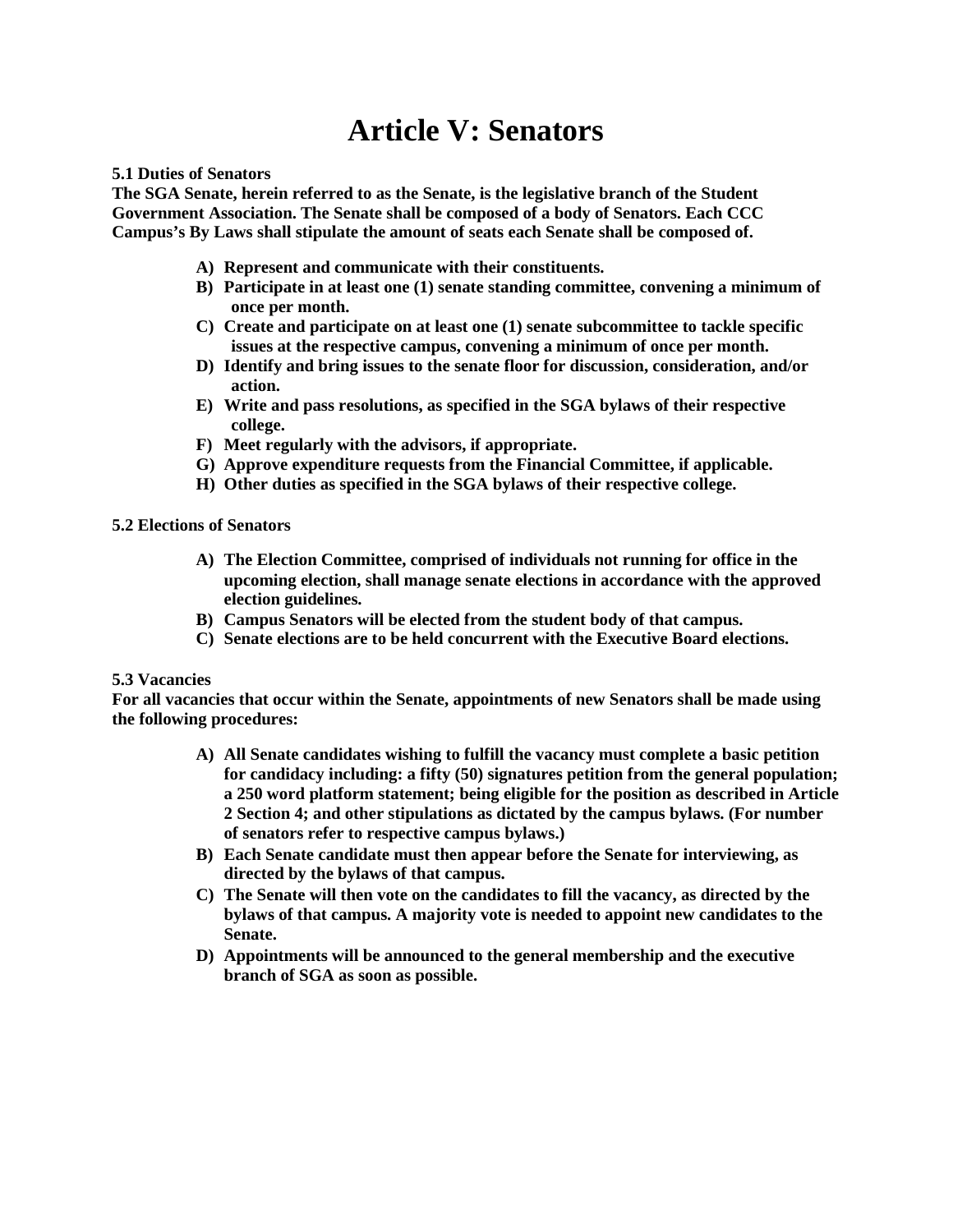# **Article V: Senators**

#### **5.1 Duties of Senators**

**The SGA Senate, herein referred to as the Senate, is the legislative branch of the Student Government Association. The Senate shall be composed of a body of Senators. Each CCC Campus's By Laws shall stipulate the amount of seats each Senate shall be composed of.**

- **A) Represent and communicate with their constituents.**
- **B) Participate in at least one (1) senate standing committee, convening a minimum of once per month.**
- **C) Create and participate on at least one (1) senate subcommittee to tackle specific issues at the respective campus, convening a minimum of once per month.**
- **D) Identify and bring issues to the senate floor for discussion, consideration, and/or action.**
- **E) Write and pass resolutions, as specified in the SGA bylaws of their respective college.**
- **F) Meet regularly with the advisors, if appropriate.**
- **G) Approve expenditure requests from the Financial Committee, if applicable.**
- **H) Other duties as specified in the SGA bylaws of their respective college.**

#### **5.2 Elections of Senators**

- **A) The Election Committee, comprised of individuals not running for office in the upcoming election, shall manage senate elections in accordance with the approved election guidelines.**
- **B) Campus Senators will be elected from the student body of that campus.**
- **C) Senate elections are to be held concurrent with the Executive Board elections.**

### **5.3 Vacancies**

**For all vacancies that occur within the Senate, appointments of new Senators shall be made using the following procedures:**

- **A) All Senate candidates wishing to fulfill the vacancy must complete a basic petition for candidacy including: a fifty (50) signatures petition from the general population; a 250 word platform statement; being eligible for the position as described in Article 2 Section 4; and other stipulations as dictated by the campus bylaws. (For number of senators refer to respective campus bylaws.)**
- **B) Each Senate candidate must then appear before the Senate for interviewing, as directed by the bylaws of that campus.**
- **C) The Senate will then vote on the candidates to fill the vacancy, as directed by the bylaws of that campus. A majority vote is needed to appoint new candidates to the Senate.**
- **D) Appointments will be announced to the general membership and the executive branch of SGA as soon as possible.**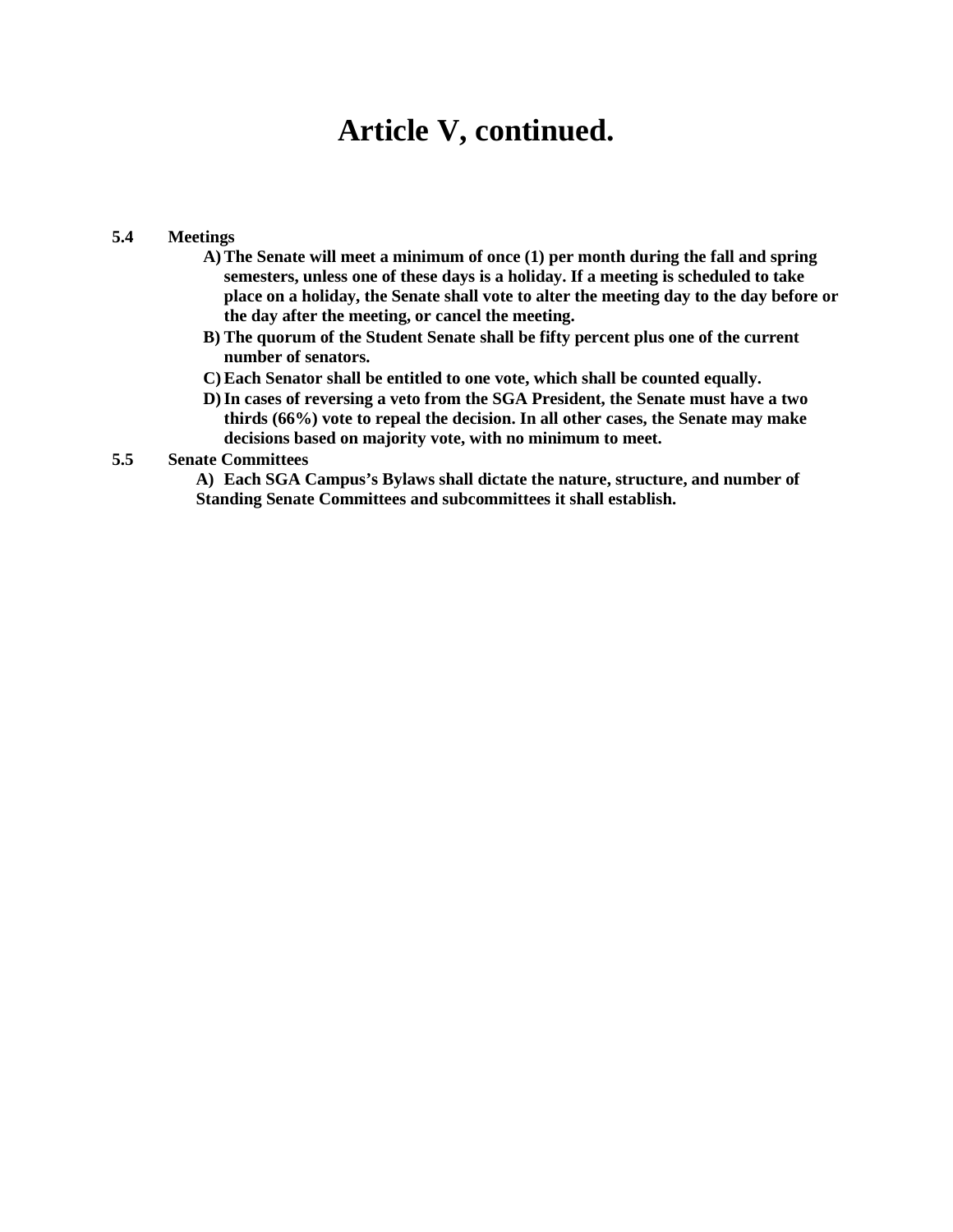## **Article V, continued.**

### **5.4 Meetings**

- **A) The Senate will meet a minimum of once (1) per month during the fall and spring semesters, unless one of these days is a holiday. If a meeting is scheduled to take place on a holiday, the Senate shall vote to alter the meeting day to the day before or the day after the meeting, or cancel the meeting.**
- **B) The quorum of the Student Senate shall be fifty percent plus one of the current number of senators.**
- **C) Each Senator shall be entitled to one vote, which shall be counted equally.**
- **D)In cases of reversing a veto from the SGA President, the Senate must have a two thirds (66%) vote to repeal the decision. In all other cases, the Senate may make decisions based on majority vote, with no minimum to meet.**

### **5.5 Senate Committees**

**A) Each SGA Campus's Bylaws shall dictate the nature, structure, and number of Standing Senate Committees and subcommittees it shall establish.**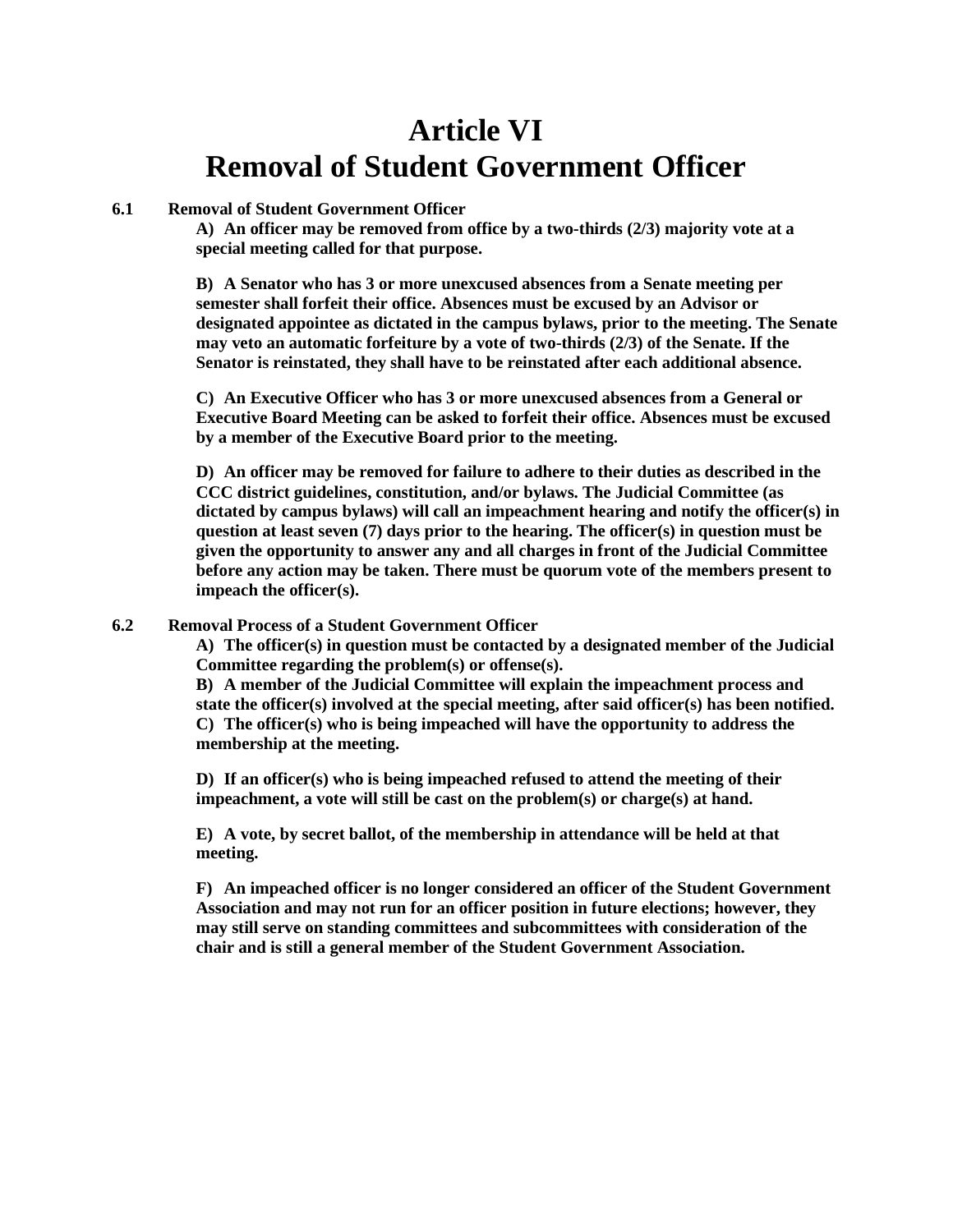# **Article VI Removal of Student Government Officer**

### **6.1 Removal of Student Government Officer**

**A) An officer may be removed from office by a two-thirds (2/3) majority vote at a special meeting called for that purpose.** 

**B) A Senator who has 3 or more unexcused absences from a Senate meeting per semester shall forfeit their office. Absences must be excused by an Advisor or designated appointee as dictated in the campus bylaws, prior to the meeting. The Senate may veto an automatic forfeiture by a vote of two-thirds (2/3) of the Senate. If the Senator is reinstated, they shall have to be reinstated after each additional absence.** 

**C) An Executive Officer who has 3 or more unexcused absences from a General or Executive Board Meeting can be asked to forfeit their office. Absences must be excused by a member of the Executive Board prior to the meeting.** 

**D) An officer may be removed for failure to adhere to their duties as described in the CCC district guidelines, constitution, and/or bylaws. The Judicial Committee (as dictated by campus bylaws) will call an impeachment hearing and notify the officer(s) in question at least seven (7) days prior to the hearing. The officer(s) in question must be given the opportunity to answer any and all charges in front of the Judicial Committee before any action may be taken. There must be quorum vote of the members present to impeach the officer(s).** 

#### **6.2 Removal Process of a Student Government Officer**

**A) The officer(s) in question must be contacted by a designated member of the Judicial Committee regarding the problem(s) or offense(s).**

**B) A member of the Judicial Committee will explain the impeachment process and state the officer(s) involved at the special meeting, after said officer(s) has been notified. C) The officer(s) who is being impeached will have the opportunity to address the membership at the meeting.** 

**D) If an officer(s) who is being impeached refused to attend the meeting of their impeachment, a vote will still be cast on the problem(s) or charge(s) at hand.** 

**E) A vote, by secret ballot, of the membership in attendance will be held at that meeting.**

**F) An impeached officer is no longer considered an officer of the Student Government Association and may not run for an officer position in future elections; however, they may still serve on standing committees and subcommittees with consideration of the chair and is still a general member of the Student Government Association.**